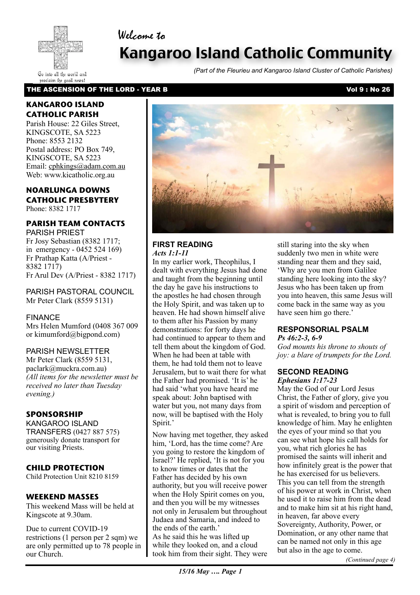Welcome to



*(Part of the Fleurieu and Kangaroo Island Cluster of Catholic Parishes)*

#### Go into all the world and proclaim the good news!

### THE ASCENSION OF THE LORD - YEAR B Vol 9 : No 26

#### **KANGAROO ISLAND CATHOLIC PARISH**

Parish House: 22 Giles Street, KINGSCOTE, SA 5223 Phone: 8553 2132 Postal address: PO Box 749, KINGSCOTE, SA 5223 Email: cphkings@adam.com.au Web: www.kicatholic.org.au

# **NOARLUNGA DOWNS CATHOLIC PRESBYTERY**

Phone: 8382 1717

# **PARISH TEAM CONTACTS**

PARISH PRIEST Fr Josy Sebastian (8382 1717; in emergency - 0452 524 169) Fr Prathap Katta (A/Priest - 8382 1717) Fr Arul Dev (A/Priest - 8382 1717)

PARISH PASTORAL COUNCIL Mr Peter Clark (8559 5131)

#### FINANCE

Mrs Helen Mumford (0408 367 009 or kimumford@bigpond.com)

#### PARISH NEWSLETTER

Mr Peter Clark (8559 5131, paclark@muckra.com.au) *(All items for the newsletter must be received no later than Tuesday evening.)*

#### **SPONSORSHIP**

KANGAROO ISLAND TRANSFERS (0427 887 575) generously donate transport for our visiting Priests.

#### **CHILD PROTECTION**

Child Protection Unit 8210 8159

#### **WEEKEND MASSES**

This weekend Mass will be held at Kingscote at 9.30am.

Due to current COVID-19 restrictions (1 person per 2 sqm) we are only permitted up to 78 people in our Church.



#### **FIRST READING** *Acts 1:1-11*

In my earlier work, Theophilus, I dealt with everything Jesus had done and taught from the beginning until the day he gave his instructions to the apostles he had chosen through the Holy Spirit, and was taken up to heaven. He had shown himself alive to them after his Passion by many demonstrations: for forty days he had continued to appear to them and tell them about the kingdom of God. When he had been at table with them, he had told them not to leave Jerusalem, but to wait there for what the Father had promised. 'It is' he had said 'what you have heard me speak about: John baptised with water but you, not many days from now, will be baptised with the Holy Spirit.'

Now having met together, they asked him, 'Lord, has the time come? Are you going to restore the kingdom of Israel?' He replied, 'It is not for you to know times or dates that the Father has decided by his own authority, but you will receive power when the Holy Spirit comes on you, and then you will be my witnesses not only in Jerusalem but throughout Judaea and Samaria, and indeed to the ends of the earth.'

 took him from their sight. They were As he said this he was lifted up while they looked on, and a cloud

still staring into the sky when suddenly two men in white were standing near them and they said, 'Why are you men from Galilee standing here looking into the sky? Jesus who has been taken up from you into heaven, this same Jesus will come back in the same way as you have seen him go there.'

# **RESPONSORIAL PSALM**

*Ps 46:2-3, 6-9*

*God mounts his throne to shouts of joy: a blare of trumpets for the Lord.*

### **SECOND READING**

*Ephesians 1:17-23*

May the God of our Lord Jesus Christ, the Father of glory, give you a spirit of wisdom and perception of what is revealed, to bring you to full knowledge of him. May he enlighten the eyes of your mind so that you can see what hope his call holds for you, what rich glories he has promised the saints will inherit and how infinitely great is the power that he has exercised for us believers. This you can tell from the strength of his power at work in Christ, when he used it to raise him from the dead and to make him sit at his right hand, in heaven, far above every Sovereignty, Authority, Power, or Domination, or any other name that can be named not only in this age but also in the age to come.

*(Continued page 4)*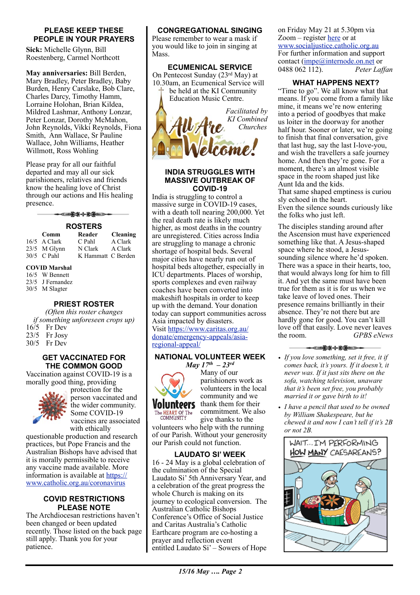#### **PLEASE KEEP THESE PEOPLE IN YOUR PRAYERS**

**Sick:** Michelle Glynn, Bill Roestenberg, Carmel Northcott

**May anniversaries:** Bill Berden, Mary Bradley, Peter Bradley, Baby Burden, Henry Carslake, Bob Clare, Charles Darcy, Timothy Hamm, Lorraine Holohan, Brian Kildea, Mildred Lashmar, Anthony Lonzar, Peter Lonzar, Dorothy McMahon, John Reynolds, Vikki Reynolds, Fiona Smith, Ann Wallace, Sr Pauline Wallace, John Williams, Heather Willmott, Ross Wohling

Please pray for all our faithful departed and may all our sick parishioners, relatives and friends know the healing love of Christ through our actions and His healing presence.



- 16/5 W Bennett 23/5 J Fernandez
- 30/5 M Slagter

#### **PRIEST ROSTER**

*(Often this roster changes if something unforeseen crops up)*

- 16/5 Fr Dev
- 23/5 Fr Josy
- 30/5 Fr Dev

#### **GET VACCINATED FOR THE COMMON GOOD**

Vaccination against COVID-19 is a morally good thing, providing



protection for the person vaccinated and the wider community. Some COVID-19 vaccines are associated with ethically

questionable production and research practices, but Pope Francis and the Australian Bishops have advised that it is morally permissible to receive any vaccine made available. More information is available at [https://](https://www.catholic.org.au/coronavirus) [www.catholic.org.au/coronavirus](https://www.catholic.org.au/coronavirus)

#### **COVID RESTRICTIONS PLEASE NOTE**

The Archdiocesan restrictions haven't been changed or been updated recently. Those listed on the back page still apply. Thank you for your patience.

#### **CONGREGATIONAL SINGING**

Please remember to wear a mask if you would like to join in singing at Mass.

# **ECUMENICAL SERVICE**

On Pentecost Sunday (23rd May) at 10.30am, an Ecumenical Service will be held at the KI Community Education Music Centre.



#### **INDIA STRUGGLES WITH MASSIVE OUTBREAK OF COVID-19**

India is struggling to control a massive surge in COVID-19 cases, with a death toll nearing 200,000. Yet the real death rate is likely much higher, as most deaths in the country are unregistered. Cities across India are struggling to manage a chronic shortage of hospital beds. Several major cities have nearly run out of hospital beds altogether, especially in ICU departments. Places of worship, sports complexes and even railway coaches have been converted into makeshift hospitals in order to keep up with the demand. Your donation today can support communities across Asia impacted by disasters.

Visit [https://www.caritas.org.au/](https://www.caritas.org.au/donate/emergency-appeals/asia-regional-appeal/) [donate/emergency-appeals/asia](https://www.caritas.org.au/donate/emergency-appeals/asia-regional-appeal/)[regional-appeal/](https://www.caritas.org.au/donate/emergency-appeals/asia-regional-appeal/)

## **NATIONAL VOLUNTEER WEEK**





Many of our parishioners work as volunteers in the local community and we thank them for their commitment. We also

give thanks to the volunteers who help with the running of our Parish. Without your generosity our Parish could not function.

#### **LAUDATO SI' WEEK**  16 - 24 May is a global celebration of the culmination of the Special Laudato Si' 5th Anniversary Year, and a celebration of the great progress the whole Church is making on its journey to ecological conversion. The Australian Catholic Bishops Conference's Office of Social Justice and Caritas Australia's Catholic Earthcare program are co-hosting a prayer and reflection event entitled Laudato Si' – Sowers of Hope

on Friday May 21 at 5.30pm via Zoom – register [here](https://caritas.zoom.us/j/93910797307?pwd=QkxtZVg3TVJTQjB0TlQ4V2pnY05aUT09) or at [www.socialjustice.catholic.org.au](http://www.socialjustice.catholic.org.au)  For further information and support contact ([impe@internode.on.net](mailto:impe@internode.on.net) or 0488 062 112). *Peter Laffan*

#### **WHAT HAPPENS NEXT?**

"Time to go". We all know what that means. If you come from a family like mine, it means we're now entering into a period of goodbyes that make us loiter in the doorway for another half hour. Sooner or later, we're going to finish that final conversation, give that last hug, say the last I-love-you, and wish the travellers a safe journey home. And then they're gone. For a moment, there's an almost visible space in the room shaped just like Aunt Ida and the kids. That same shaped emptiness is curiou sly echoed in the heart. Even the silence sounds curiously like the folks who just left.

The disciples standing around after the Ascension must have experienced something like that. A Jesus-shaped space where he stood, a Jesussounding silence where he'd spoken. There was a space in their hearts, too, that would always long for him to fill it. And yet the same must have been true for them as it is for us when we take leave of loved ones. Their presence remains brilliantly in their absence. They're not there but are hardly gone for good. You can't kill love off that easily. Love never leaves the room. *GPBS eNews*

*• If you love something, set it free, it if comes back, it's yours. If it doesn't, it never was. If it just sits there on the sofa, watching television, unaware that it's been set free, you probably married it or gave birth to it!*

 $-111$ 

*• I have a pencil that used to be owned by William Shakespeare, but he chewed it and now I can't tell if it's 2B or not 2B.*

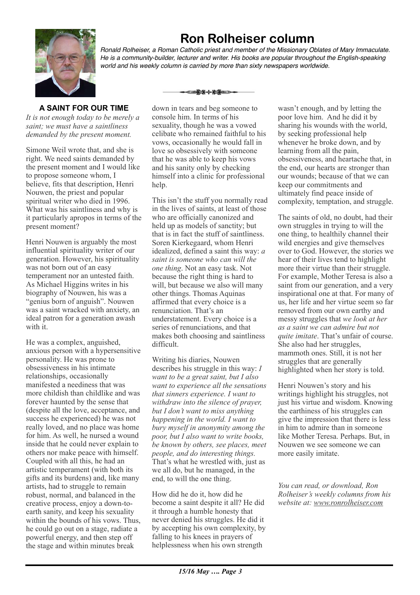

# **Ron Rolheiser column**

*Ronald Rolheiser, a Roman Catholic priest and member of the Missionary Oblates of Mary Immaculate. He is a community-builder, lecturer and writer. His books are popular throughout the English-speaking world and his weekly column is carried by more than sixty newspapers worldwide.*

### **A SAINT FOR OUR TIME**

*It is not enough today to be merely a saint; we must have a saintliness demanded by the present moment.*

Simone Weil wrote that, and she is right. We need saints demanded by the present moment and I would like to propose someone whom, I believe, fits that description, Henri Nouwen, the priest and popular spiritual writer who died in 1996. What was his saintliness and why is it particularly apropos in terms of the present moment?

Henri Nouwen is arguably the most influential spirituality writer of our generation. However, his spirituality was not born out of an easy temperament nor an untested faith. As Michael Higgins writes in his biography of Nouwen, his was a "genius born of anguish". Nouwen was a saint wracked with anxiety, an ideal patron for a generation awash with it.

He was a complex, anguished, anxious person with a hypersensitive personality. He was prone to obsessiveness in his intimate relationships, occasionally manifested a neediness that was more childish than childlike and was forever haunted by the sense that (despite all the love, acceptance, and success he experienced) he was not really loved, and no place was home for him. As well, he nursed a wound inside that he could never explain to others nor make peace with himself. Coupled with all this, he had an artistic temperament (with both its gifts and its burdens) and, like many artists, had to struggle to remain robust, normal, and balanced in the creative process, enjoy a down-toearth sanity, and keep his sexuality within the bounds of his vows. Thus, he could go out on a stage, radiate a powerful energy, and then step off the stage and within minutes break

down in tears and beg someone to console him. In terms of his sexuality, though he was a vowed celibate who remained faithful to his vows, occasionally he would fall in love so obsessively with someone that he was able to keep his vows and his sanity only by checking himself into a clinic for professional help

▅<del>▓</del>⊹▓▅⊶

This isn't the stuff you normally read in the lives of saints, at least of those who are officially canonized and held up as models of sanctity; but that is in fact the stuff of saintliness. Soren Kierkegaard, whom Henri idealized, defined a saint this way: *a saint is someone who can will the one thing*. Not an easy task. Not because the right thing is hard to will, but because we also will many other things. Thomas Aquinas affirmed that every choice is a renunciation. That's an understatement. Every choice is a series of renunciations, and that makes both choosing and saintliness difficult.

Writing his diaries, Nouwen describes his struggle in this way: *I want to be a great saint, but I also want to experience all the sensations that sinners experience. I want to withdraw into the silence of prayer, but I don't want to miss anything happening in the world. I want to bury myself in anonymity among the poor, but I also want to write books, be known by others, see places, meet people, and do interesting things.*  That's what he wrestled with, just as we all do, but he managed, in the end, to will the one thing.

How did he do it, how did he become a saint despite it all? He did it through a humble honesty that never denied his struggles. He did it by accepting his own complexity, by falling to his knees in prayers of helplessness when his own strength

wasn't enough, and by letting the poor love him. And he did it by sharing his wounds with the world, by seeking professional help whenever he broke down, and by learning from all the pain, obsessiveness, and heartache that, in the end, our hearts are stronger than our wounds; because of that we can keep our commitments and ultimately find peace inside of complexity, temptation, and struggle.

The saints of old, no doubt, had their own struggles in trying to will the one thing, to healthily channel their wild energies and give themselves over to God. However, the stories we hear of their lives tend to highlight more their virtue than their struggle. For example, Mother Teresa is also a saint from our generation, and a very inspirational one at that. For many of us, her life and her virtue seem so far removed from our own earthy and messy struggles that *we look at her as a saint we can admire but not quite imitate*. That's unfair of course. She also had her struggles, mammoth ones. Still, it is not her struggles that are generally highlighted when her story is told.

Henri Nouwen's story and his writings highlight his struggles, not just his virtue and wisdom. Knowing the earthiness of his struggles can give the impression that there is less in him to admire than in someone like Mother Teresa. Perhaps. But, in Nouwen we see someone we can more easily imitate.

*You can read, or download, Ron Rolheiser's weekly columns from his website at: www.ronrolheiser.com*